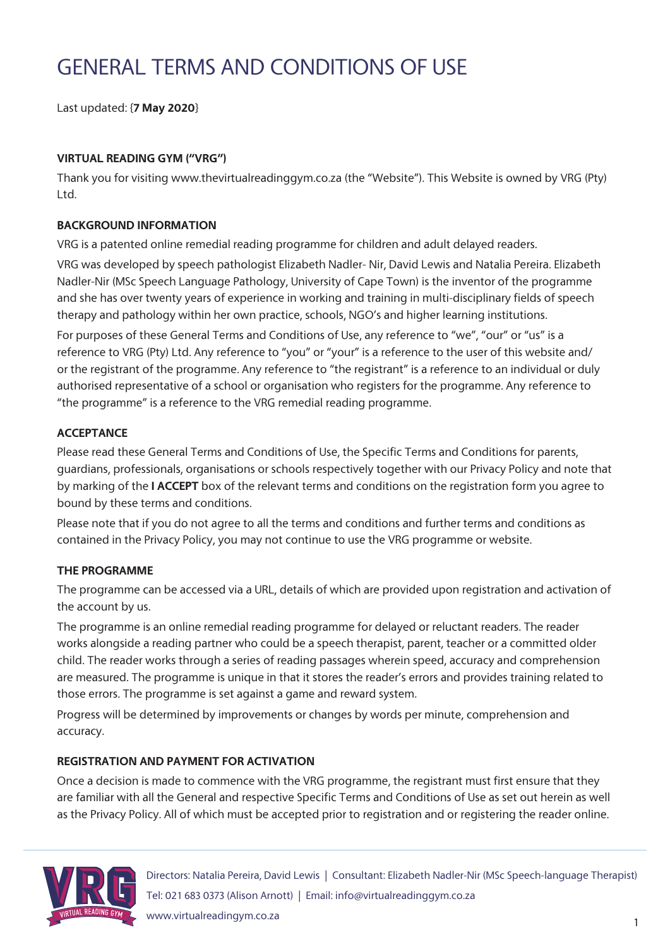# GENERAL TERMS AND CONDITIONS OF USE

Last updated: {**7 May 2020**}

### **VIRTUAL READING GYM ("VRG")**

Thank you for visiting www.thevirtualreadinggym.co.za (the "Website"). This Website is owned by VRG (Pty) Ltd.

#### **BACKGROUND INFORMATION**

VRG is a patented online remedial reading programme for children and adult delayed readers.

VRG was developed by speech pathologist Elizabeth Nadler- Nir, David Lewis and Natalia Pereira. Elizabeth Nadler-Nir (MSc Speech Language Pathology, University of Cape Town) is the inventor of the programme and she has over twenty years of experience in working and training in multi-disciplinary fields of speech therapy and pathology within her own practice, schools, NGO's and higher learning institutions.

For purposes of these General Terms and Conditions of Use, any reference to "we", "our" or "us" is a reference to VRG (Pty) Ltd. Any reference to "you" or "your" is a reference to the user of this website and/ or the registrant of the programme. Any reference to "the registrant" is a reference to an individual or duly authorised representative of a school or organisation who registers for the programme. Any reference to "the programme" is a reference to the VRG remedial reading programme.

#### **ACCEPTANCE**

Please read these General Terms and Conditions of Use, the Specific Terms and Conditions for parents, guardians, professionals, organisations or schools respectively together with our Privacy Policy and note that by marking of the **I ACCEPT** box of the relevant terms and conditions on the registration form you agree to bound by these terms and conditions.

Please note that if you do not agree to all the terms and conditions and further terms and conditions as contained in the Privacy Policy, you may not continue to use the VRG programme or website.

#### **THE PROGRAMME**

The programme can be accessed via a URL, details of which are provided upon registration and activation of the account by us.

The programme is an online remedial reading programme for delayed or reluctant readers. The reader works alongside a reading partner who could be a speech therapist, parent, teacher or a committed older child. The reader works through a series of reading passages wherein speed, accuracy and comprehension are measured. The programme is unique in that it stores the reader's errors and provides training related to those errors. The programme is set against a game and reward system.

Progress will be determined by improvements or changes by words per minute, comprehension and accuracy.

#### **REGISTRATION AND PAYMENT FOR ACTIVATION**

Once a decision is made to commence with the VRG programme, the registrant must first ensure that they are familiar with all the General and respective Specific Terms and Conditions of Use as set out herein as well as the Privacy Policy. All of which must be accepted prior to registration and or registering the reader online.

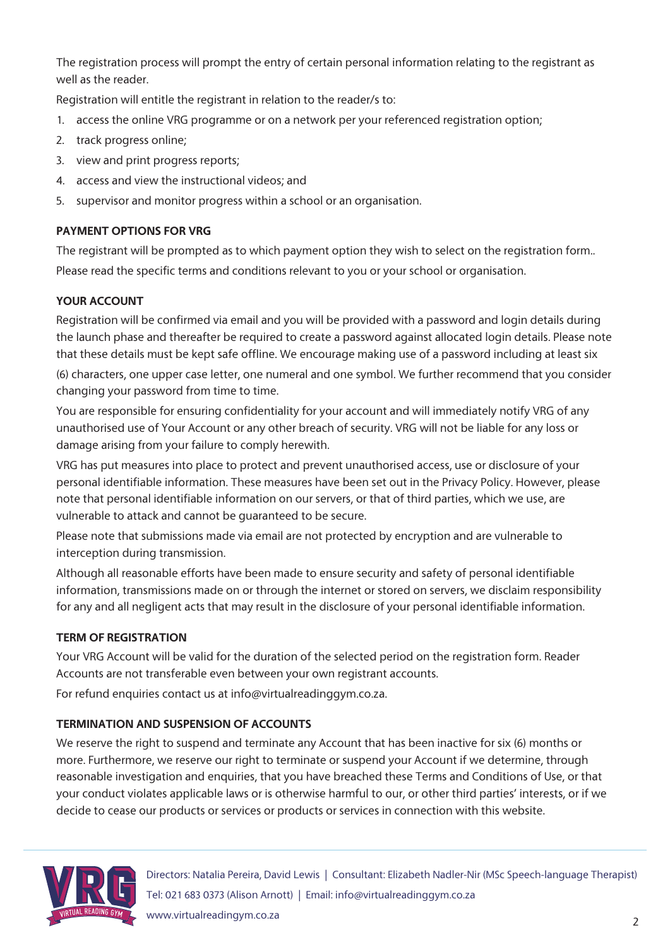The registration process will prompt the entry of certain personal information relating to the registrant as well as the reader.

Registration will entitle the registrant in relation to the reader/s to:

- 1. access the online VRG programme or on a network per your referenced registration option;
- 2. track progress online;
- 3. view and print progress reports;
- 4. access and view the instructional videos; and
- 5. supervisor and monitor progress within a school or an organisation.

### **PAYMENT OPTIONS FOR VRG**

The registrant will be prompted as to which payment option they wish to select on the registration form.. Please read the specific terms and conditions relevant to you or your school or organisation.

#### **YOUR ACCOUNT**

Registration will be confirmed via email and you will be provided with a password and login details during the launch phase and thereafter be required to create a password against allocated login details. Please note that these details must be kept safe offline. We encourage making use of a password including at least six

(6) characters, one upper case letter, one numeral and one symbol. We further recommend that you consider changing your password from time to time.

You are responsible for ensuring confidentiality for your account and will immediately notify VRG of any unauthorised use of Your Account or any other breach of security. VRG will not be liable for any loss or damage arising from your failure to comply herewith.

VRG has put measures into place to protect and prevent unauthorised access, use or disclosure of your personal identifiable information. These measures have been set out in the Privacy Policy. However, please note that personal identifiable information on our servers, or that of third parties, which we use, are vulnerable to attack and cannot be guaranteed to be secure.

Please note that submissions made via email are not protected by encryption and are vulnerable to interception during transmission.

Although all reasonable efforts have been made to ensure security and safety of personal identifiable information, transmissions made on or through the internet or stored on servers, we disclaim responsibility for any and all negligent acts that may result in the disclosure of your personal identifiable information.

# **TERM OF REGISTRATION**

Your VRG Account will be valid for the duration of the selected period on the registration form. Reader Accounts are not transferable even between your own registrant accounts.

For refund enquiries contact us at info@virtualreadinggym.co.za.

# **TERMINATION AND SUSPENSION OF ACCOUNTS**

We reserve the right to suspend and terminate any Account that has been inactive for six (6) months or more. Furthermore, we reserve our right to terminate or suspend your Account if we determine, through reasonable investigation and enquiries, that you have breached these Terms and Conditions of Use, or that your conduct violates applicable laws or is otherwise harmful to our, or other third parties' interests, or if we decide to cease our products or services or products or services in connection with this website.

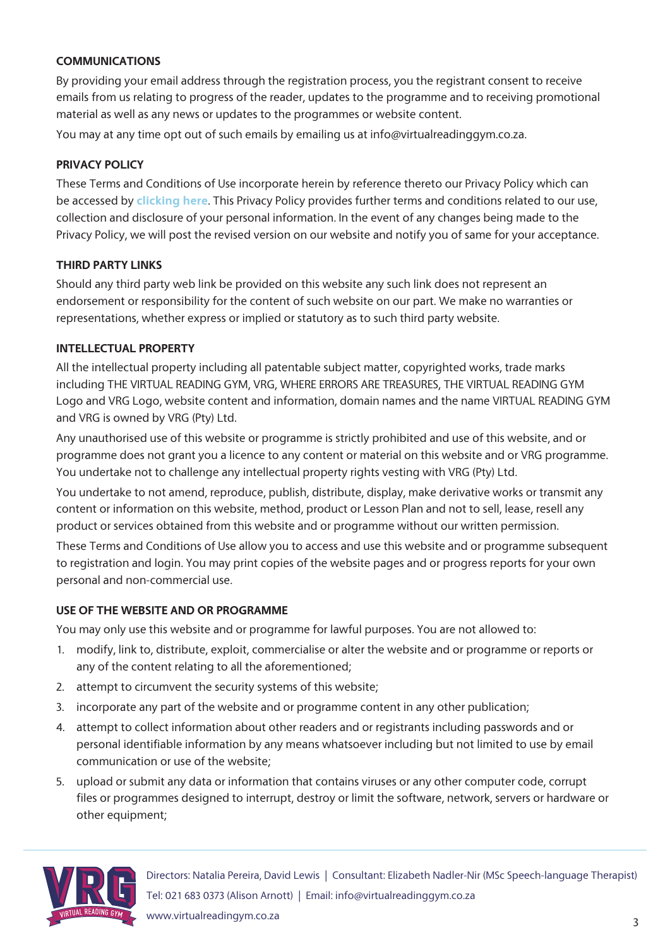#### **COMMUNICATIONS**

By providing your email address through the registration process, you the registrant consent to receive emails from us relating to progress of the reader, updates to the programme and to receiving promotional material as well as any news or updates to the programmes or website content.

You may at any time opt out of such emails by emailing us at info@virtualreadinggym.co.za.

#### **PRIVACY POLICY**

These Terms and Conditions of Use incorporate herein by reference thereto our Privacy Policy which can be accessed by **clicking here**. This Privacy Policy provides further terms and conditions related to our use, collection and disclosure of your personal information. In the event of any changes being made to the Privacy Policy, we will post the revised version on our website and notify you of same for your acceptance.

#### **THIRD PARTY LINKS**

Should any third party web link be provided on this website any such link does not represent an endorsement or responsibility for the content of such website on our part. We make no warranties or representations, whether express or implied or statutory as to such third party website.

#### **INTELLECTUAL PROPERTY**

All the intellectual property including all patentable subject matter, copyrighted works, trade marks including THE VIRTUAL READING GYM, VRG, WHERE ERRORS ARE TREASURES, THE VIRTUAL READING GYM Logo and VRG Logo, website content and information, domain names and the name VIRTUAL READING GYM and VRG is owned by VRG (Pty) Ltd.

Any unauthorised use of this website or programme is strictly prohibited and use of this website, and or programme does not grant you a licence to any content or material on this website and or VRG programme. You undertake not to challenge any intellectual property rights vesting with VRG (Pty) Ltd.

You undertake to not amend, reproduce, publish, distribute, display, make derivative works or transmit any content or information on this website, method, product or Lesson Plan and not to sell, lease, resell any product or services obtained from this website and or programme without our written permission.

These Terms and Conditions of Use allow you to access and use this website and or programme subsequent to registration and login. You may print copies of the website pages and or progress reports for your own personal and non-commercial use.

#### **USE OF THE WEBSITE AND OR PROGRAMME**

You may only use this website and or programme for lawful purposes. You are not allowed to:

- 1. modify, link to, distribute, exploit, commercialise or alter the website and or programme or reports or any of the content relating to all the aforementioned;
- 2. attempt to circumvent the security systems of this website;
- 3. incorporate any part of the website and or programme content in any other publication;
- 4. attempt to collect information about other readers and or registrants including passwords and or personal identifiable information by any means whatsoever including but not limited to use by email communication or use of the website;
- 5. upload or submit any data or information that contains viruses or any other computer code, corrupt files or programmes designed to interrupt, destroy or limit the software, network, servers or hardware or other equipment;

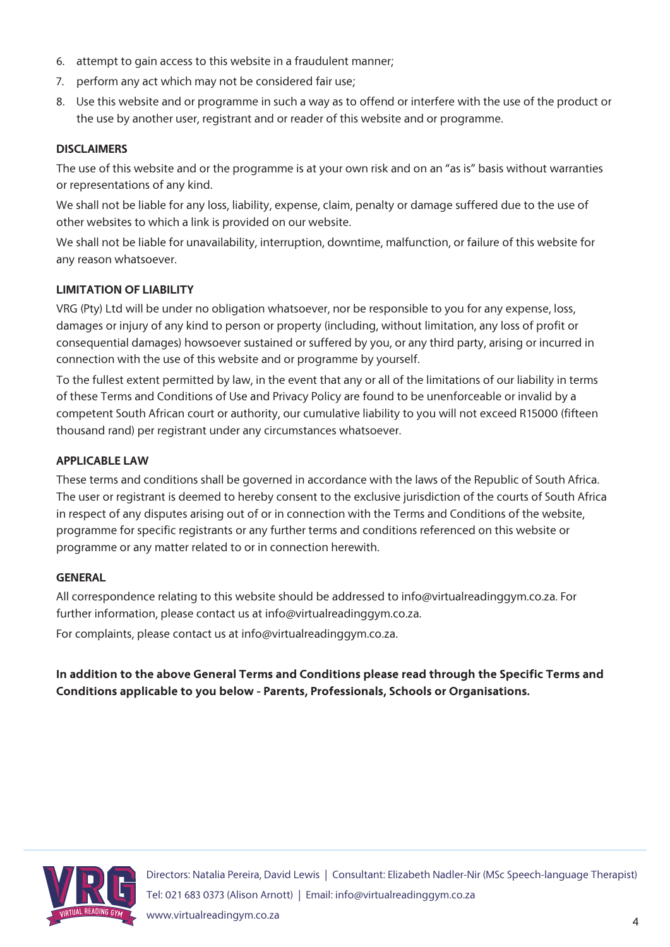- 6. attempt to gain access to this website in a fraudulent manner;
- 7. perform any act which may not be considered fair use;
- 8. Use this website and or programme in such a way as to offend or interfere with the use of the product or the use by another user, registrant and or reader of this website and or programme.

#### **DISCLAIMERS**

The use of this website and or the programme is at your own risk and on an "as is" basis without warranties or representations of any kind.

We shall not be liable for any loss, liability, expense, claim, penalty or damage suffered due to the use of other websites to which a link is provided on our website.

We shall not be liable for unavailability, interruption, downtime, malfunction, or failure of this website for any reason whatsoever.

#### **LIMITATION OF LIABILITY**

VRG (Pty) Ltd will be under no obligation whatsoever, nor be responsible to you for any expense, loss, damages or injury of any kind to person or property (including, without limitation, any loss of profit or consequential damages) howsoever sustained or suffered by you, or any third party, arising or incurred in connection with the use of this website and or programme by yourself.

To the fullest extent permitted by law, in the event that any or all of the limitations of our liability in terms of these Terms and Conditions of Use and Privacy Policy are found to be unenforceable or invalid by a competent South African court or authority, our cumulative liability to you will not exceed R15000 (fifteen thousand rand) per registrant under any circumstances whatsoever.

#### **APPLICABLE LAW**

These terms and conditions shall be governed in accordance with the laws of the Republic of South Africa. The user or registrant is deemed to hereby consent to the exclusive jurisdiction of the courts of South Africa in respect of any disputes arising out of or in connection with the Terms and Conditions of the website, programme for specific registrants or any further terms and conditions referenced on this website or programme or any matter related to or in connection herewith.

#### **GENERAL**

All correspondence relating to this website should be addressed to info@virtualreadinggym.co.za. For further information, please contact us at info@virtualreadinggym.co.za.

For complaints, please contact us at info@virtualreadinggym.co.za.

**In addition to the above General Terms and Conditions please read through the Specific Terms and Conditions applicable to you below - Parents, Professionals, Schools or Organisations.**

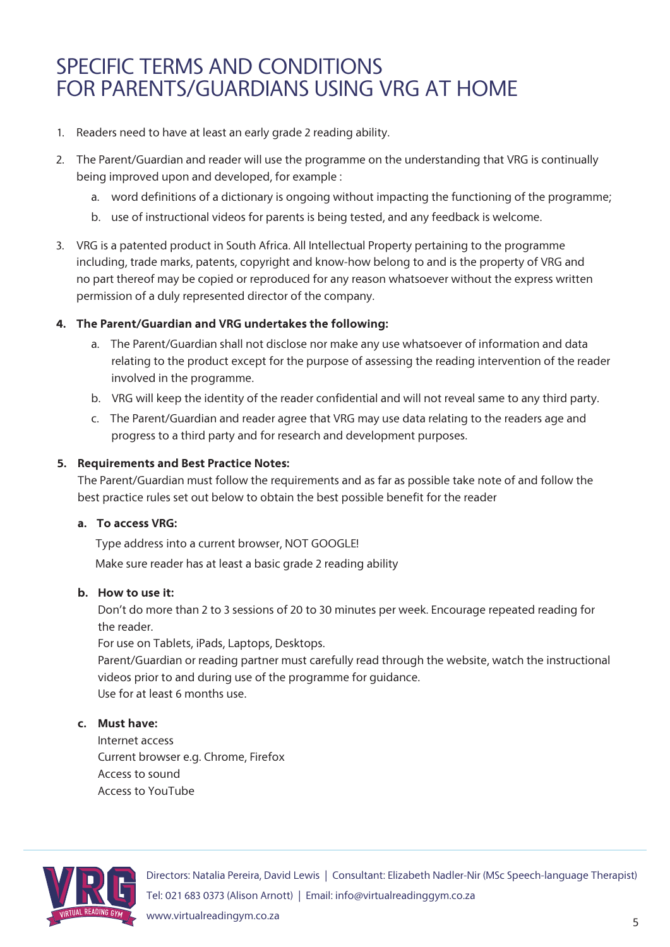# SPECIFIC TERMS AND CONDITIONS FOR PARENTS/GUARDIANS USING VRG AT HOME

- 1. Readers need to have at least an early grade 2 reading ability.
- 2. The Parent/Guardian and reader will use the programme on the understanding that VRG is continually being improved upon and developed, for example :
	- a. word definitions of a dictionary is ongoing without impacting the functioning of the programme;
	- b. use of instructional videos for parents is being tested, and any feedback is welcome.
- 3. VRG is a patented product in South Africa. All Intellectual Property pertaining to the programme including, trade marks, patents, copyright and know-how belong to and is the property of VRG and no part thereof may be copied or reproduced for any reason whatsoever without the express written permission of a duly represented director of the company.

#### **4. The Parent/Guardian and VRG undertakes the following:**

- a. The Parent/Guardian shall not disclose nor make any use whatsoever of information and data relating to the product except for the purpose of assessing the reading intervention of the reader involved in the programme.
- b. VRG will keep the identity of the reader confidential and will not reveal same to any third party.
- c. The Parent/Guardian and reader agree that VRG may use data relating to the readers age and progress to a third party and for research and development purposes.

#### **5. Requirements and Best Practice Notes:**

The Parent/Guardian must follow the requirements and as far as possible take note of and follow the best practice rules set out below to obtain the best possible benefit for the reader

#### **a. To access VRG:**

Type address into a current browser, NOT GOOGLE!

Make sure reader has at least a basic grade 2 reading ability

#### **b. How to use it:**

Don't do more than 2 to 3 sessions of 20 to 30 minutes per week. Encourage repeated reading for the reader.

For use on Tablets, iPads, Laptops, Desktops.

Parent/Guardian or reading partner must carefully read through the website, watch the instructional videos prior to and during use of the programme for guidance. Use for at least 6 months use.

#### **c. Must have:**

Internet access Current browser e.g. Chrome, Firefox Access to sound Access to YouTube

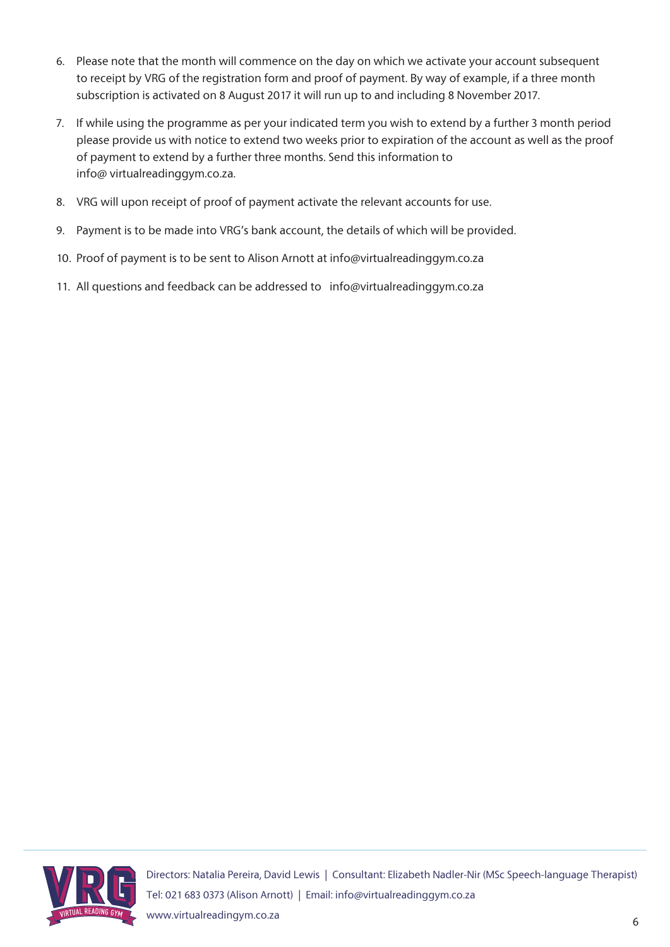- 6. Please note that the month will commence on the day on which we activate your account subsequent to receipt by VRG of the registration form and proof of payment. By way of example, if a three month subscription is activated on 8 August 2017 it will run up to and including 8 November 2017.
- 7. If while using the programme as per your indicated term you wish to extend by a further 3 month period please provide us with notice to extend two weeks prior to expiration of the account as well as the proof of payment to extend by a further three months. Send this information to info@ virtualreadinggym.co.za.
- 8. VRG will upon receipt of proof of payment activate the relevant accounts for use.
- 9. Payment is to be made into VRG's bank account, the details of which will be provided.
- 10. Proof of payment is to be sent to Alison Arnott at info@virtualreadinggym.co.za
- 11. All questions and feedback can be addressed to info@virtualreadinggym.co.za

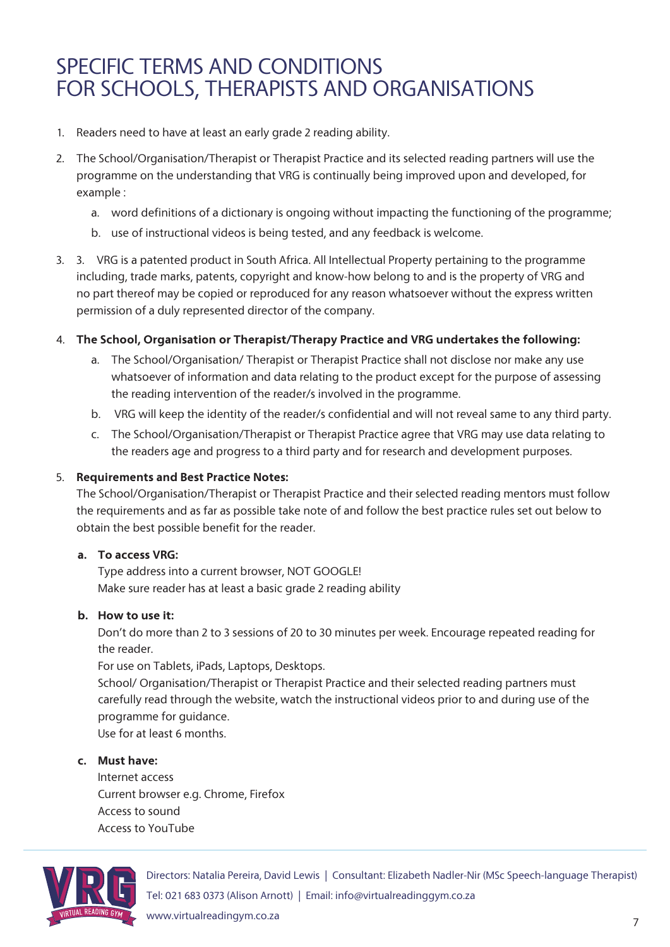# SPECIFIC TERMS AND CONDITIONS FOR SCHOOLS, THERAPISTS AND ORGANISATIONS

- 1. Readers need to have at least an early grade 2 reading ability.
- 2. The School/Organisation/Therapist or Therapist Practice and its selected reading partners will use the programme on the understanding that VRG is continually being improved upon and developed, for example :
	- a. word definitions of a dictionary is ongoing without impacting the functioning of the programme;
	- b. use of instructional videos is being tested, and any feedback is welcome.
- 3. 3. VRG is a patented product in South Africa. All Intellectual Property pertaining to the programme including, trade marks, patents, copyright and know-how belong to and is the property of VRG and no part thereof may be copied or reproduced for any reason whatsoever without the express written permission of a duly represented director of the company.

#### 4. **The School, Organisation or Therapist/Therapy Practice and VRG undertakes the following:**

- a. The School/Organisation/ Therapist or Therapist Practice shall not disclose nor make any use whatsoever of information and data relating to the product except for the purpose of assessing the reading intervention of the reader/s involved in the programme.
- b. VRG will keep the identity of the reader/s confidential and will not reveal same to any third party.
- c. The School/Organisation/Therapist or Therapist Practice agree that VRG may use data relating to the readers age and progress to a third party and for research and development purposes.

#### 5. **Requirements and Best Practice Notes:**

The School/Organisation/Therapist or Therapist Practice and their selected reading mentors must follow the requirements and as far as possible take note of and follow the best practice rules set out below to obtain the best possible benefit for the reader.

#### **a. To access VRG:**

Type address into a current browser, NOT GOOGLE! Make sure reader has at least a basic grade 2 reading ability

#### **b. How to use it:**

Don't do more than 2 to 3 sessions of 20 to 30 minutes per week. Encourage repeated reading for the reader.

For use on Tablets, iPads, Laptops, Desktops.

School/ Organisation/Therapist or Therapist Practice and their selected reading partners must carefully read through the website, watch the instructional videos prior to and during use of the programme for guidance.

Use for at least 6 months.

#### **c. Must have:**

Internet access Current browser e.g. Chrome, Firefox Access to sound Access to YouTube